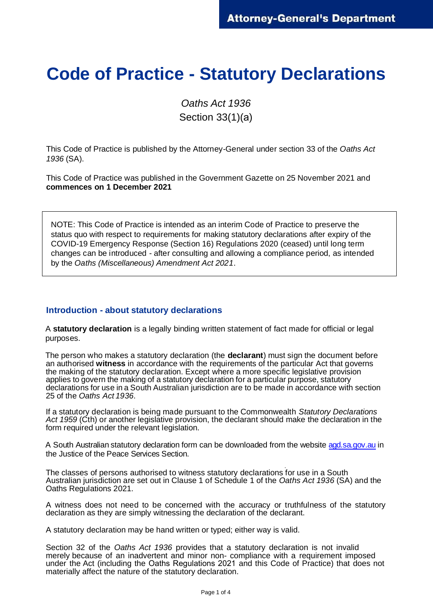## **Code of Practice - Statutory Declarations**

*Oaths Act 1936*  Section 33(1)(a)

This Code of Practice is published by the Attorney-General under section 33 of the *Oaths Act 1936* (SA).

This Code of Practice was published in the Government Gazette on 25 November 2021 and **commences on 1 December 2021** 

NOTE: This Code of Practice is intended as an interim Code of Practice to preserve the status quo with respect to requirements for making statutory declarations after expiry of the COVID-19 Emergency Response (Section 16) Regulations 2020 (ceased) until long term changes can be introduced - after consulting and allowing a compliance period, as intended by the *Oaths (Miscellaneous) Amendment Act 2021*.

## **Introduction - about statutory declarations**

A **statutory declaration** is a legally binding written statement of fact made for official or legal purposes.

The person who makes a statutory declaration (the **declarant**) must sign the document before an authorised **witness** in accordance with the requirements of the particular Act that governs the making of the statutory declaration. Except where a more specific legislative provision applies to govern the making of a statutory declaration for a particular purpose, statutory declarations for use in a South Australian jurisdiction are to be made in accordance with section 25 of the *Oaths Act 1936*.

If a statutory declaration is being made pursuant to the Commonwealth *Statutory Declarations Act 1959* (Cth) or another legislative provision, the declarant should make the declaration in the form required under the relevant legislation.

A South Australian statutory declaration form can be downloaded from the website [agd.sa.gov.au](http://www.agd.sa.gov.au/) in the Justice of the Peace Services Section.

The classes of persons authorised to witness statutory declarations for use in a South Australian jurisdiction are set out in Clause 1 of Schedule 1 of the *Oaths Act 1936* (SA) and the Oaths Regulations 2021.

A witness does not need to be concerned with the accuracy or truthfulness of the statutory declaration as they are simply witnessing the declaration of the declarant.

A statutory declaration may be hand written or typed; either way is valid.

Section 32 of the *Oaths Act 1936* provides that a statutory declaration is not invalid merely because of an inadvertent and minor non- compliance with a requirement imposed under the Act (including the Oaths Regulations 2021 and this Code of Practice) that does not materially affect the nature of the statutory declaration.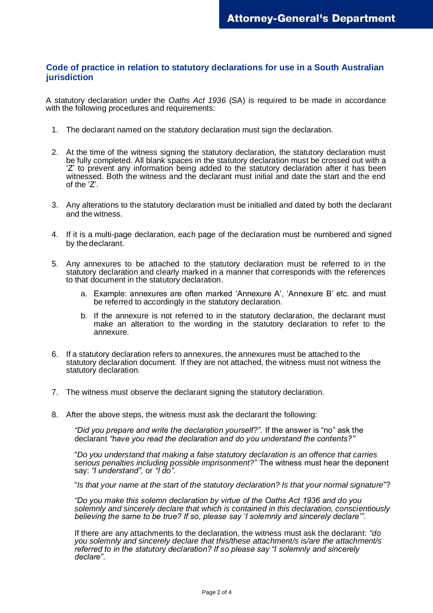## **Code of practice in relation to statutory declarations for use in a South Australian jurisdiction**

A statutory declaration under the *Oaths Act 1936* (SA) is required to be made in accordance with the following procedures and requirements:

- 1. The declarant named on the statutory declaration must sign the declaration.
- 2. At the time of the witness signing the statutory declaration, the statutory declaration must be fully completed. All blank spaces in the statutory declaration must be crossed out with a 'Z' to prevent any information being added to the statutory declaration after it has been witnessed. Both the witness and the declarant must initial and date the start and the end of the 'Z'.
- 3. Any alterations to the statutory declaration must be initialled and dated by both the declarant and the witness.
- 4. If it is a multi-page declaration, each page of the declaration must be numbered and signed by the declarant.
- 5. Any annexures to be attached to the statutory declaration must be referred to in the statutory declaration and clearly marked in a manner that corresponds with the references to that document in the statutory declaration.
	- a. Example: annexures are often marked 'Annexure A', 'Annexure B' etc. and must be referred to accordingly in the statutory declaration.
	- b. If the annexure is not referred to in the statutory declaration, the declarant must make an alteration to the wording in the statutory declaration to refer to the annexure.
- 6. If a statutory declaration refers to annexures, the annexures must be attached to the statutory declaration document. If they are not attached, the witness must not witness the statutory declaration.
- 7. The witness must observe the declarant signing the statutory declaration.
- 8. After the above steps, the witness must ask the declarant the following:

*"Did you prepare and write the declaration yourself?".* If the answer is "no" ask the declarant *"have you read the declaration and do you understand the contents?"*

"*Do you understand that making a false statutory declaration is an offence that carries serious penalties including possible imprisonment?*" The witness must hear the deponent say: *"I understand",* or *"I do".*

"*Is that your name at the start of the statutory declaration? Is that your normal signature*"?

*"Do you make this solemn declaration by virtue of the Oaths Act 1936 and do you solemnly and sincerely declare that which is contained in this declaration, conscientiously believing the same to be true? If so, please say 'I solemnly and sincerely declare'".*

If there are any attachments to the declaration, the witness must ask the declarant: *"do you solemnly and sincerely declare that this/these attachment/s is/are the attachment/s referred to in the statutory declaration? If so please say "I solemnly and sincerely declare".*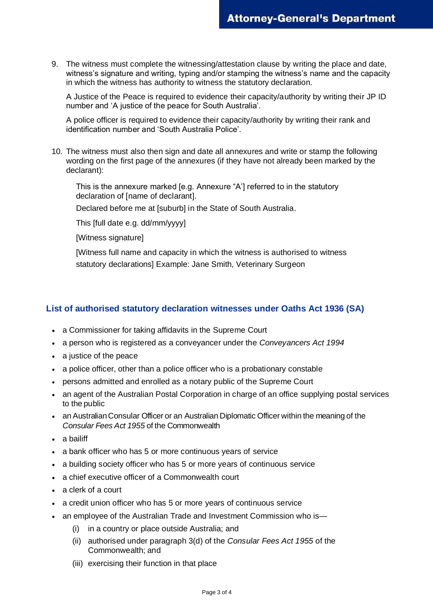9. The witness must complete the witnessing/attestation clause by writing the place and date, witness's signature and writing, typing and/or stamping the witness's name and the capacity in which the witness has authority to witness the statutory declaration.

A Justice of the Peace is required to evidence their capacity/authority by writing their JP ID number and 'A justice of the peace for South Australia'.

A police officer is required to evidence their capacity/authority by writing their rank and identification number and 'South Australia Police'.

10. The witness must also then sign and date all annexures and write or stamp the following wording on the first page of the annexures (if they have not already been marked by the declarant):

This is the annexure marked [e.g. Annexure "A'] referred to in the statutory declaration of [name of declarant].

Declared before me at [suburb] in the State of South Australia.

This [full date e.g. dd/mm/yyyy]

[Witness signature]

[Witness full name and capacity in which the witness is authorised to witness statutory declarations] Example: Jane Smith, Veterinary Surgeon

## **List of authorised statutory declaration witnesses under Oaths Act 1936 (SA)**

- a Commissioner for taking affidavits in the Supreme Court
- a person who is registered as a conveyancer under the *Conveyancers Act 1994*
- a justice of the peace
- a police officer, other than a police officer who is a probationary constable
- persons admitted and enrolled as a notary public of the Supreme Court
- an agent of the Australian Postal Corporation in charge of an office supplying postal services to the public
- an Australian Consular Officer or an Australian Diplomatic Officer within the meaning of the *Consular Fees Act 1955* of the Commonwealth
- a bailiff
- a bank officer who has 5 or more continuous years of service
- a building society officer who has 5 or more years of continuous service
- a chief executive officer of a Commonwealth court
- a clerk of a court
- a credit union officer who has 5 or more years of continuous service
- an employee of the Australian Trade and Investment Commission who is—
	- (i) in a country or place outside Australia; and
	- (ii) authorised under paragraph 3(d) of the *Consular Fees Act 1955* of the Commonwealth; and
	- (iii) exercising their function in that place